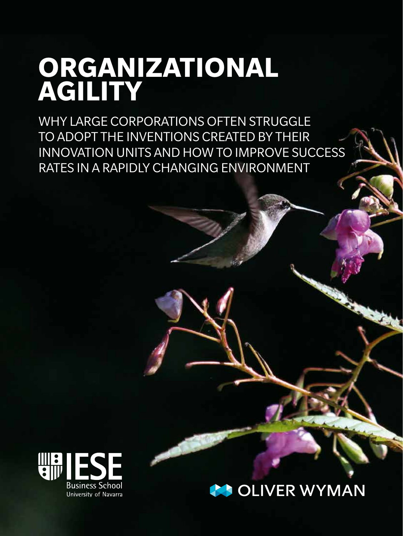# **ORGANIZATIONAL AGILITY**

WHY LARGE CORPORATIONS OFTEN STRUGGLE TO ADOPT THE INVENTIONS CREATED BY THEIR INNOVATION UNITS AND HOW TO IMPROVE SUCCESS RATES IN A RAPIDLY CHANGING ENVIRONMENT



## **COLIVER WYMAN**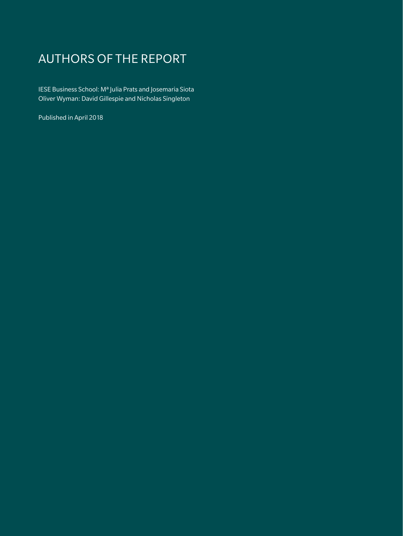## AUTHORS OF THE REPORT

IESE Business School: Mª Julia Prats and Josemaria Siota Oliver Wyman: David Gillespie and Nicholas Singleton

Published in April 2018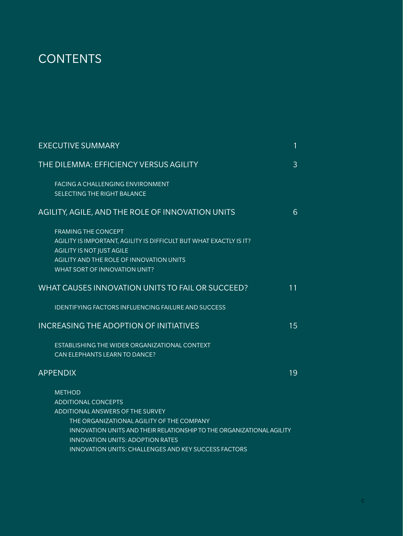## **CONTENTS**

| <b>EXECUTIVE SUMMARY</b>                                                                                                                                                                                                                         | $\mathbf{1}$ |
|--------------------------------------------------------------------------------------------------------------------------------------------------------------------------------------------------------------------------------------------------|--------------|
| THE DILEMMA: EFFICIENCY VERSUS AGILITY                                                                                                                                                                                                           | 3            |
| FACING A CHALLENGING ENVIRONMENT<br>SELECTING THE RIGHT BALANCE                                                                                                                                                                                  |              |
| AGILITY, AGILE, AND THE ROLE OF INNOVATION UNITS                                                                                                                                                                                                 | 6            |
| <b>FRAMING THE CONCEPT</b><br>AGILITY IS IMPORTANT, AGILITY IS DIFFICULT BUT WHAT EXACTLY IS IT?<br><b>AGILITY IS NOT JUST AGILE</b><br>AGILITY AND THE ROLE OF INNOVATION UNITS<br>WHAT SORT OF INNOVATION UNIT?                                |              |
| WHAT CAUSES INNOVATION UNITS TO FAIL OR SUCCEED?                                                                                                                                                                                                 | 11           |
| <b>IDENTIFYING FACTORS INFLUENCING FAILURE AND SUCCESS</b>                                                                                                                                                                                       |              |
| <b>INCREASING THE ADOPTION OF INITIATIVES</b>                                                                                                                                                                                                    | 15           |
| ESTABLISHING THE WIDER ORGANIZATIONAL CONTEXT<br>CAN ELEPHANTS LEARN TO DANCE?                                                                                                                                                                   |              |
| <b>APPENDIX</b>                                                                                                                                                                                                                                  | 19           |
| <b>METHOD</b><br><b>ADDITIONAL CONCEPTS</b><br>ADDITIONAL ANSWERS OF THE SURVEY<br>THE ORGANIZATIONAL AGILITY OF THE COMPANY<br>INNOVATION UNITS AND THEIR RELATIONSHIP TO THE ORGANIZATIONAL AGILITY<br><b>INNOVATION UNITS: ADOPTION RATES</b> |              |
| INNOVATION UNITS: CHALLENGES AND KEY SUCCESS FACTORS                                                                                                                                                                                             |              |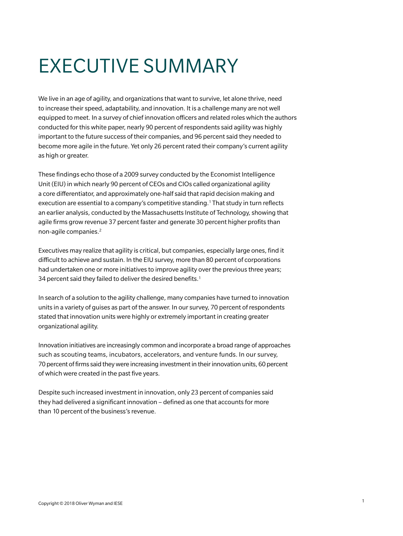# EXECUTIVE SUMMARY

We live in an age of agility, and organizations that want to survive, let alone thrive, need to increase their speed, adaptability, and innovation. It is a challenge many are not well equipped to meet. In a survey of chief innovation officers and related roles which the authors conducted for this white paper, nearly 90 percent of respondents said agility was highly important to the future success of their companies, and 96 percent said they needed to become more agile in the future. Yet only 26 percent rated their company's current agility as high or greater.

These findings echo those of a 2009 survey conducted by the Economist Intelligence Unit (EIU) in which nearly 90 percent of CEOs and CIOs called organizational agility a core differentiator, and approximately one-half said that rapid decision making and execution are essential to a company's competitive standing.1 That study in turn reflects an earlier analysis, conducted by the Massachusetts Institute of Technology, showing that agile firms grow revenue 37 percent faster and generate 30 percent higher profits than non-agile companies.2

Executives may realize that agility is critical, but companies, especially large ones, find it difficult to achieve and sustain. In the EIU survey, more than 80 percent of corporations had undertaken one or more initiatives to improve agility over the previous three years; 34 percent said they failed to deliver the desired benefits.<sup>1</sup>

In search of a solution to the agility challenge, many companies have turned to innovation units in a variety of guises as part of the answer. In our survey, 70 percent of respondents stated that innovation units were highly or extremely important in creating greater organizational agility.

Innovation initiatives are increasingly common and incorporate a broad range of approaches such as scouting teams, incubators, accelerators, and venture funds. In our survey, 70 percent of firms said they were increasing investment in their innovation units, 60 percent of which were created in the past five years.

Despite such increased investment in innovation, only 23 percent of companies said they had delivered a significant innovation – defined as one that accounts for more than 10 percent of the business's revenue.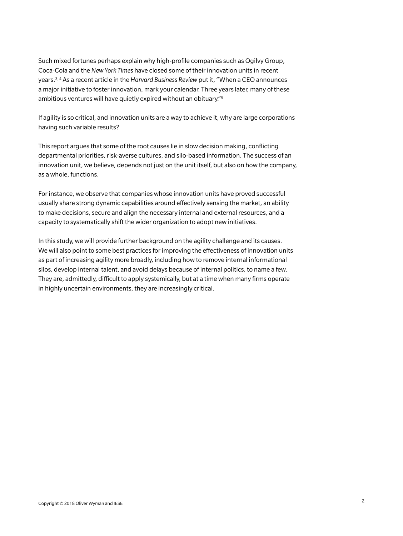Such mixed fortunes perhaps explain why high-profile companies such as Ogilvy Group, Coca-Cola and the *New York Times* have closed some of their innovation units in recent years.3, 4 As a recent article in the *Harvard Business Review* put it, "When a CEO announces a major initiative to foster innovation, mark your calendar. Three years later, many of these ambitious ventures will have quietly expired without an obituary."5

If agility is so critical, and innovation units are a way to achieve it, why are large corporations having such variable results?

This report argues that some of the root causes lie in slow decision making, conflicting departmental priorities, risk-averse cultures, and silo-based information. The success of an innovation unit, we believe, depends not just on the unit itself, but also on how the company, as a whole, functions.

For instance, we observe that companies whose innovation units have proved successful usually share strong dynamic capabilities around effectively sensing the market, an ability to make decisions, secure and align the necessary internal and external resources, and a capacity to systematically shift the wider organization to adopt new initiatives.

In this study, we will provide further background on the agility challenge and its causes. We will also point to some best practices for improving the effectiveness of innovation units as part of increasing agility more broadly, including how to remove internal informational silos, develop internal talent, and avoid delays because of internal politics, to name a few. They are, admittedly, difficult to apply systemically, but at a time when many firms operate in highly uncertain environments, they are increasingly critical.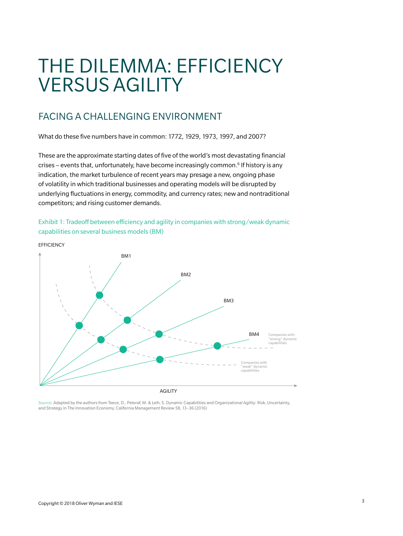## THE DILEMMA: EFFICIENCY VERSUS AGILITY

## FACING A CHALLENGING ENVIRONMENT

What do these five numbers have in common: 1772, 1929, 1973, 1997, and 2007?

These are the approximate starting dates of five of the world's most devastating financial crises – events that, unfortunately, have become increasingly common.6 If history is any indication, the market turbulence of recent years may presage a new, ongoing phase of volatility in which traditional businesses and operating models will be disrupted by underlying fluctuations in energy, commodity, and currency rates; new and nontraditional competitors; and rising customer demands.







Source: Adapted by the authors from Teece, D., Peteraf, M. & Leih, S. Dynamic Capabilities and Organizational Agility: Risk, Uncertainty, and Strategy in The Innovation Economy. California Management Review 58, 13–36 (2016)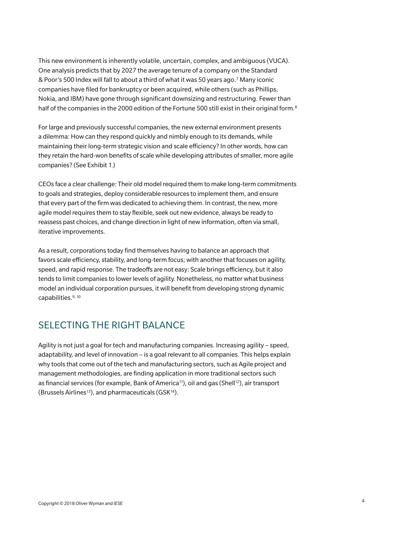This new environment is inherently volatile, uncertain, complex, and ambiguous (VUCA). One analysis predicts that by 2027 the average tenure of a company on the Standard & Poor's 500 Index will fall to about a third of what it was 50 years ago.7 Many iconic companies have filed for bankruptcy or been acquired, while others (such as Phillips, Nokia, and IBM) have gone through significant downsizing and restructuring. Fewer than half of the companies in the 2000 edition of the Fortune 500 still exist in their original form.<sup>8</sup>

For large and previously successful companies, the new external environment presents a dilemma: How can they respond quickly and nimbly enough to its demands, while maintaining their long-term strategic vision and scale efficiency? In other words, how can they retain the hard-won benefits of scale while developing attributes of smaller, more agile companies? (See Exhibit 1.)

CEOs face a clear challenge: Their old model required them to make long-term commitments to goals and strategies, deploy considerable resources to implement them, and ensure that every part of the firm was dedicated to achieving them. In contrast, the new, more agile model requires them to stay flexible, seek out new evidence, always be ready to reassess past choices, and change direction in light of new information, often via small, iterative improvements.

As a result, corporations today find themselves having to balance an approach that favors scale efficiency, stability, and long-term focus; with another that focuses on agility, speed, and rapid response. The tradeoffs are not easy: Scale brings efficiency, but it also tends to limit companies to lower levels of agility. Nonetheless, no matter what business model an individual corporation pursues, it will benefit from developing strong dynamic capabilities.<sup>9, 10</sup>

## SELECTING THE RIGHT BALANCE

Agility is not just a goal for tech and manufacturing companies. Increasing agility – speed, adaptability, and level of innovation – is a goal relevant to all companies. This helps explain why tools that come out of the tech and manufacturing sectors, such as Agile project and management methodologies, are finding application in more traditional sectors such as financial services (for example, Bank of America<sup>11</sup>), oil and gas (Shell<sup>12</sup>), air transport (Brussels Airlines<sup>13</sup>), and pharmaceuticals (GSK<sup>14</sup>).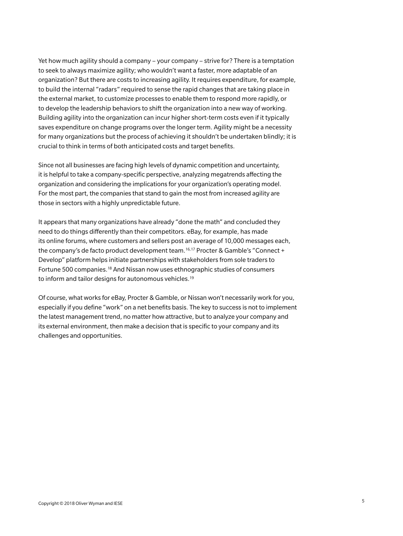Yet how much agility should a company – your company – strive for? There is a temptation to seek to always maximize agility; who wouldn't want a faster, more adaptable of an organization? But there are costs to increasing agility. It requires expenditure, for example, to build the internal "radars" required to sense the rapid changes that are taking place in the external market, to customize processes to enable them to respond more rapidly, or to develop the leadership behaviors to shift the organization into a new way of working. Building agility into the organization can incur higher short-term costs even if it typically saves expenditure on change programs over the longer term. Agility might be a necessity for many organizations but the process of achieving it shouldn't be undertaken blindly; it is crucial to think in terms of both anticipated costs and target benefits.

Since not all businesses are facing high levels of dynamic competition and uncertainty, it is helpful to take a company-specific perspective, analyzing megatrends affecting the organization and considering the implications for your organization's operating model. For the most part, the companies that stand to gain the most from increased agility are those in sectors with a highly unpredictable future.

It appears that many organizations have already "done the math" and concluded they need to do things differently than their competitors. eBay, for example, has made its online forums, where customers and sellers post an average of 10,000 messages each, the company's de facto product development team.16,17 Procter & Gamble's "Connect + Develop" platform helps initiate partnerships with stakeholders from sole traders to Fortune 500 companies.18 And Nissan now uses ethnographic studies of consumers to inform and tailor designs for autonomous vehicles.<sup>19</sup>

Of course, what works for eBay, Procter & Gamble, or Nissan won't necessarily work for you, especially if you define "work" on a net benefits basis. The key to success is not to implement the latest management trend, no matter how attractive, but to analyze your company and its external environment, then make a decision that is specific to your company and its challenges and opportunities.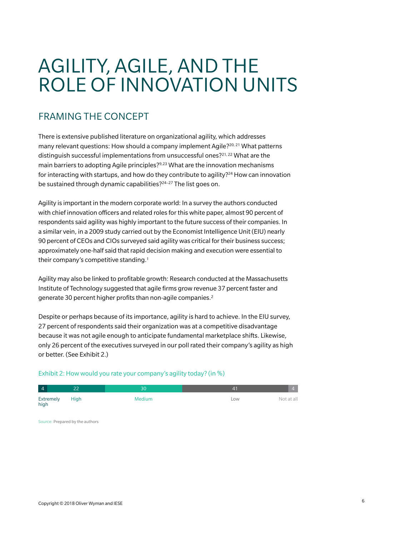# AGILITY, AGILE, AND THE ROLE OF INNOVATION UNITS

## FRAMING THE CONCEPT

There is extensive published literature on organizational agility, which addresses many relevant questions: How should a company implement Agile?<sup>20, 21</sup> What patterns distinguish successful implementations from unsuccessful ones?<sup>21,22</sup> What are the main barriers to adopting Agile principles?9,23 What are the innovation mechanisms for interacting with startups, and how do they contribute to agility?24 How can innovation be sustained through dynamic capabilities?<sup>24-27</sup> The list goes on.

Agility is important in the modern corporate world: In a survey the authors conducted with chief innovation officers and related roles for this white paper, almost 90 percent of respondents said agility was highly important to the future success of their companies. In a similar vein, in a 2009 study carried out by the Economist Intelligence Unit (EIU) nearly 90 percent of CEOs and CIOs surveyed said agility was critical for their business success; approximately one-half said that rapid decision making and execution were essential to their company's competitive standing.1

Agility may also be linked to profitable growth: Research conducted at the Massachusetts Institute of Technology suggested that agile firms grow revenue 37 percent faster and generate 30 percent higher profits than non-agile companies.<sup>2</sup>

Despite or perhaps because of its importance, agility is hard to achieve. In the EIU survey, 27 percent of respondents said their organization was at a competitive disadvantage because it was not agile enough to anticipate fundamental marketplace shifts. Likewise, only 26 percent of the executives surveyed in our poll rated their company's agility as high or better. (See Exhibit 2.)

#### Exhibit 2: How would you rate your company's agility today? (in %)

| $\overline{4}$    | $\sim$ | 51.           |     |            |
|-------------------|--------|---------------|-----|------------|
| Extremely<br>high | High   | <b>Medium</b> | LOW | Not at all |

Source: Prepared by the authors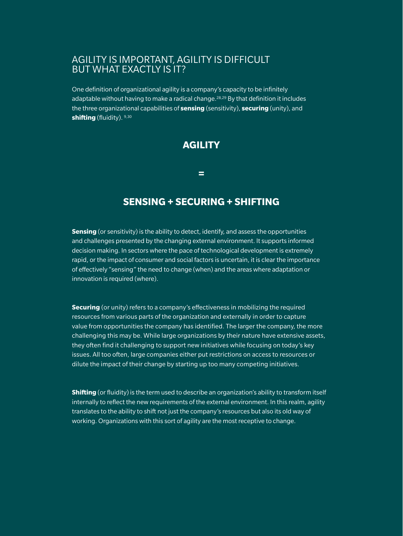## AGILITY IS IMPORTANT, AGILITY IS DIFFICULT BUT WHAT EXACTLY IS IT?

One definition of organizational agility is a company's capacity to be infinitely adaptable without having to make a radical change.<sup>28,29</sup> By that definition it includes the three organizational capabilities of **sensing** (sensitivity), **securing** (unity), and **shifting** (fluidity). 9,30

## **AGILITY**

**=**

## **SENSING + SECURING + SHIFTING**

**Sensing** (or sensitivity) is the ability to detect, identify, and assess the opportunities and challenges presented by the changing external environment. It supports informed decision making. In sectors where the pace of technological development is extremely rapid, or the impact of consumer and social factors is uncertain, it is clear the importance of effectively "sensing" the need to change (when) and the areas where adaptation or innovation is required (where).

**Securing** (or unity) refers to a company's effectiveness in mobilizing the required resources from various parts of the organization and externally in order to capture value from opportunities the company has identified. The larger the company, the more challenging this may be. While large organizations by their nature have extensive assets, they often find it challenging to support new initiatives while focusing on today's key issues. All too often, large companies either put restrictions on access to resources or dilute the impact of their change by starting up too many competing initiatives.

**Shifting** (or fluidity) is the term used to describe an organization's ability to transform itself internally to reflect the new requirements of the external environment. In this realm, agility translates to the ability to shift not just the company's resources but also its old way of working. Organizations with this sort of agility are the most receptive to change.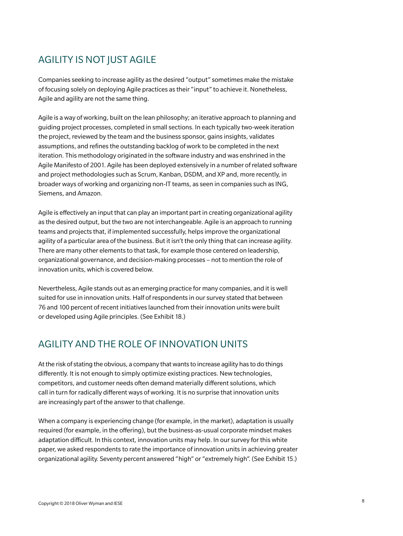## AGILITY IS NOT JUST AGILE

Companies seeking to increase agility as the desired "output" sometimes make the mistake of focusing solely on deploying Agile practices as their "input" to achieve it. Nonetheless, Agile and agility are not the same thing.

Agile is a way of working, built on the lean philosophy; an iterative approach to planning and guiding project processes, completed in small sections. In each typically two-week iteration the project, reviewed by the team and the business sponsor, gains insights, validates assumptions, and refines the outstanding backlog of work to be completed in the next iteration. This methodology originated in the software industry and was enshrined in the Agile Manifesto of 2001. Agile has been deployed extensively in a number of related software and project methodologies such as Scrum, Kanban, DSDM, and XP and, more recently, in broader ways of working and organizing non-IT teams, as seen in companies such as ING, Siemens, and Amazon.

Agile is effectively an input that can play an important part in creating organizational agility as the desired output, but the two are not interchangeable. Agile is an approach to running teams and projects that, if implemented successfully, helps improve the organizational agility of a particular area of the business. But it isn't the only thing that can increase agility. There are many other elements to that task, for example those centered on leadership, organizational governance, and decision-making processes – not to mention the role of innovation units, which is covered below.

Nevertheless, Agile stands out as an emerging practice for many companies, and it is well suited for use in innovation units. Half of respondents in our survey stated that between 76 and 100 percent of recent initiatives launched from their innovation units were built or developed using Agile principles. (See Exhibit 18.)

## AGILITY AND THE ROLE OF INNOVATION UNITS

At the risk of stating the obvious, a company that wants to increase agility has to do things differently. It is not enough to simply optimize existing practices. New technologies, competitors, and customer needs often demand materially different solutions, which call in turn for radically different ways of working. It is no surprise that innovation units are increasingly part of the answer to that challenge.

When a company is experiencing change (for example, in the market), adaptation is usually required (for example, in the offering), but the business-as-usual corporate mindset makes adaptation difficult. In this context, innovation units may help. In our survey for this white paper, we asked respondents to rate the importance of innovation units in achieving greater organizational agility. Seventy percent answered "high" or "extremely high". (See Exhibit 15.)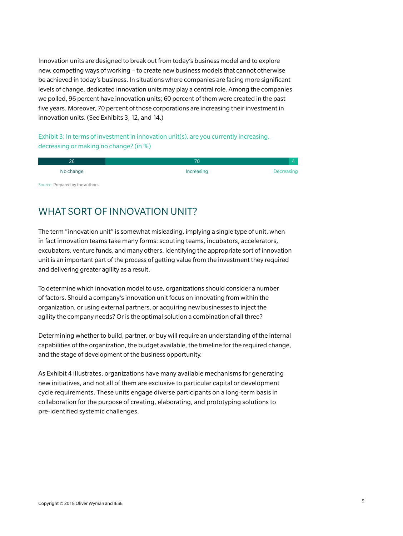Innovation units are designed to break out from today's business model and to explore new, competing ways of working – to create new business models that cannot otherwise be achieved in today's business. In situations where companies are facing more significant levels of change, dedicated innovation units may play a central role. Among the companies we polled, 96 percent have innovation units; 60 percent of them were created in the past five years. Moreover, 70 percent of those corporations are increasing their investment in innovation units. (See Exhibits 3, 12, and 14.)

### Exhibit 3: In terms of investment in innovation unit(s), are you currently increasing, decreasing or making no change? (in %)

| 70         |            |
|------------|------------|
| Increasing | Decreasing |
|            |            |

Source: Prepared by the authors

## WHAT SORT OF INNOVATION UNIT?

The term "innovation unit" is somewhat misleading, implying a single type of unit, when in fact innovation teams take many forms: scouting teams, incubators, accelerators, excubators, venture funds, and many others. Identifying the appropriate sort of innovation unit is an important part of the process of getting value from the investment they required and delivering greater agility as a result.

To determine which innovation model to use, organizations should consider a number of factors. Should a company's innovation unit focus on innovating from within the organization, or using external partners, or acquiring new businesses to inject the agility the company needs? Or is the optimal solution a combination of all three?

Determining whether to build, partner, or buy will require an understanding of the internal capabilities of the organization, the budget available, the timeline for the required change, and the stage of development of the business opportunity.

As Exhibit 4 illustrates, organizations have many available mechanisms for generating new initiatives, and not all of them are exclusive to particular capital or development cycle requirements. These units engage diverse participants on a long-term basis in collaboration for the purpose of creating, elaborating, and prototyping solutions to pre-identified systemic challenges.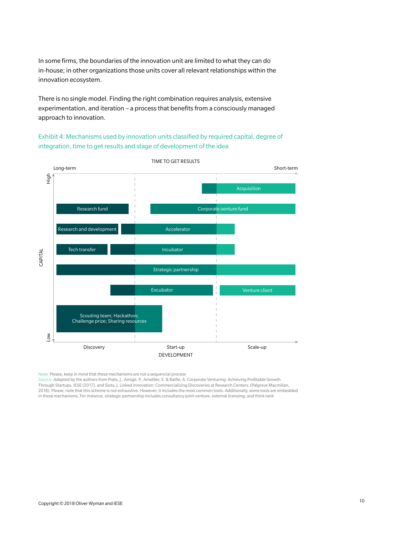In some firms, the boundaries of the innovation unit are limited to what they can do in-house; in other organizations those units cover all relevant relationships within the innovation ecosystem.

There is no single model. Finding the right combination requires analysis, extensive experimentation, and iteration – a process that benefits from a consciously managed approach to innovation.

Exhibit 4: Mechanisms used by innovation units classified by required capital, degree of integration, time to get results and stage of development of the idea



Note: Please, keep in mind that these mechanisms are not a sequencial process

Source: Adapted by the authors from Prats, J., Amigó, P., Ametller, X. & Batlle, A. Corporate Venturing: Achieving Profitable Growth Through Startups. IESE (2017), and Siota, J. Linked Innovation: Commercializing Discoveries at Research Centers. (Palgrave Macmillan, 2018). Please, note that this scheme is not exhaustive. However, it includes the most common tools. Additionally, some tools are embedded in these mechanisms. For instance, strategic partnership includes consultancy joint-venture, external licensing, and think tank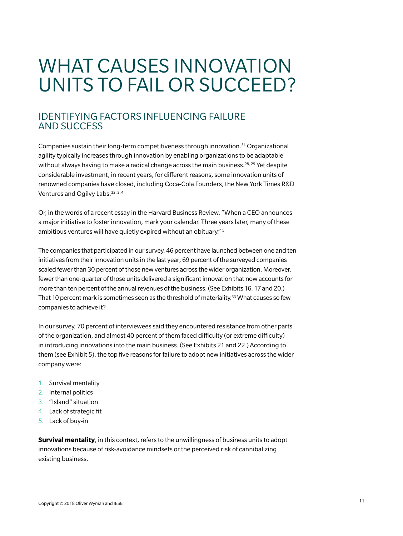# WHAT CAUSES INNOVATION UNITS TO FAIL OR SUCCEED?

## IDENTIFYING FACTORS INFLUENCING FAILURE AND SUCCESS

Companies sustain their long-term competitiveness through innovation.31 Organizational agility typically increases through innovation by enabling organizations to be adaptable without always having to make a radical change across the main business.<sup>28, 29</sup> Yet despite considerable investment, in recent years, for different reasons, some innovation units of renowned companies have closed, including Coca-Cola Founders, the New York Times R&D Ventures and Ogilvy Labs. 32, 3, 4

Or, in the words of a recent essay in the Harvard Business Review, "When a CEO announces a major initiative to foster innovation, mark your calendar. Three years later, many of these ambitious ventures will have quietly expired without an obituary." <sup>5</sup>

The companies that participated in our survey, 46 percent have launched between one and ten initiatives from their innovation units in the last year; 69 percent of the surveyed companies scaled fewer than 30 percent of those new ventures across the wider organization. Moreover, fewer than one-quarter of those units delivered a significant innovation that now accounts for more than ten percent of the annual revenues of the business. (See Exhibits 16, 17 and 20.) That 10 percent mark is sometimes seen as the threshold of materiality.<sup>33</sup> What causes so few companies to achieve it?

In our survey, 70 percent of interviewees said they encountered resistance from other parts of the organization, and almost 40 percent of them faced difficulty (or extreme difficulty) in introducing innovations into the main business. (See Exhibits 21 and 22.) According to them (see Exhibit 5), the top five reasons for failure to adopt new initiatives across the wider company were:

- 1. Survival mentality
- 2. Internal politics
- 3. "Island" situation
- 4. Lack of strategic fit
- 5. Lack of buy-in

**Survival mentality**, in this context, refers to the unwillingness of business units to adopt innovations because of risk-avoidance mindsets or the perceived risk of cannibalizing existing business.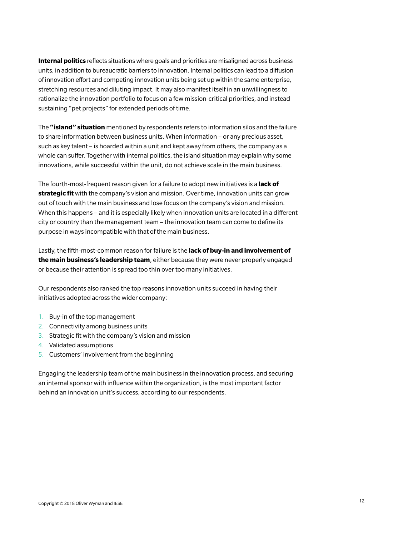**Internal politics** reflects situations where goals and priorities are misaligned across business units, in addition to bureaucratic barriers to innovation. Internal politics can lead to a diffusion of innovation effort and competing innovation units being set up within the same enterprise, stretching resources and diluting impact. It may also manifest itself in an unwillingness to rationalize the innovation portfolio to focus on a few mission-critical priorities, and instead sustaining "pet projects" for extended periods of time.

The **"island" situation** mentioned by respondents refers to information silos and the failure to share information between business units. When information – or any precious asset, such as key talent – is hoarded within a unit and kept away from others, the company as a whole can suffer. Together with internal politics, the island situation may explain why some innovations, while successful within the unit, do not achieve scale in the main business.

The fourth-most-frequent reason given for a failure to adopt new initiatives is a **lack of strategic fit** with the company's vision and mission. Over time, innovation units can grow out of touch with the main business and lose focus on the company's vision and mission. When this happens – and it is especially likely when innovation units are located in a different city or country than the management team – the innovation team can come to define its purpose in ways incompatible with that of the main business.

Lastly, the fifth-most-common reason for failure is the **lack of buy-in and involvement of the main business's leadership team**, either because they were never properly engaged or because their attention is spread too thin over too many initiatives.

Our respondents also ranked the top reasons innovation units succeed in having their initiatives adopted across the wider company:

- 1. Buy-in of the top management
- 2. Connectivity among business units
- 3. Strategic fit with the company's vision and mission
- 4. Validated assumptions
- 5. Customers' involvement from the beginning

Engaging the leadership team of the main business in the innovation process, and securing an internal sponsor with influence within the organization, is the most important factor behind an innovation unit's success, according to our respondents.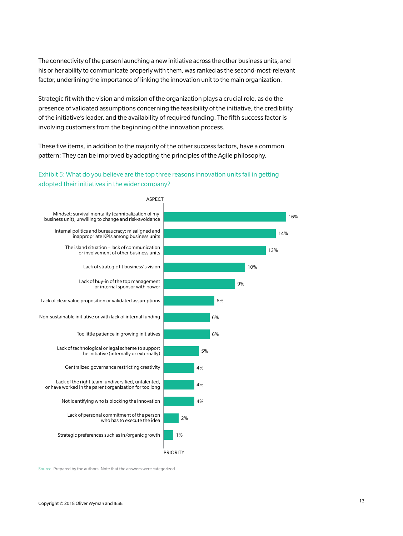The connectivity of the person launching a new initiative across the other business units, and his or her ability to communicate properly with them, was ranked as the second-most-relevant factor, underlining the importance of linking the innovation unit to the main organization.

Strategic fit with the vision and mission of the organization plays a crucial role, as do the presence of validated assumptions concerning the feasibility of the initiative, the credibility of the initiative's leader, and the availability of required funding. The fifth success factor is involving customers from the beginning of the innovation process.

These five items, in addition to the majority of the other success factors, have a common pattern: They can be improved by adopting the principles of the Agile philosophy.

## Exhibit 5: What do you believe are the top three reasons innovation units fail in getting adopted their initiatives in the wider company?



Source: Prepared by the authors. Note that the answers were categorized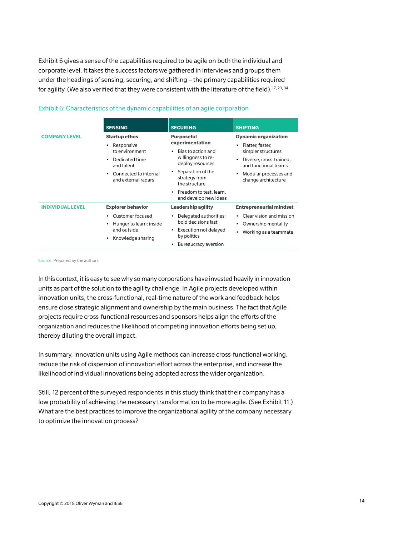Exhibit 6 gives a sense of the capabilities required to be agile on both the individual and corporate level. It takes the success factors we gathered in interviews and groups them under the headings of sensing, securing, and shifting – the primary capabilities required for agility. (We also verified that they were consistent with the literature of the field).<sup>17, 23, 34</sup>

|                                                                                                                                                                                                     | <b>SENSING</b>                                                                                              | <b>SECURING</b>                                                                                                                                                                                                                | <b>SHIFTING</b>                                                                                                                                                                       |
|-----------------------------------------------------------------------------------------------------------------------------------------------------------------------------------------------------|-------------------------------------------------------------------------------------------------------------|--------------------------------------------------------------------------------------------------------------------------------------------------------------------------------------------------------------------------------|---------------------------------------------------------------------------------------------------------------------------------------------------------------------------------------|
| <b>COMPANY LEVEL</b><br><b>Startup ethos</b><br>Responsive<br>$\bullet$<br>to environment<br>Dedicated time<br>$\bullet$<br>and talent<br>Connected to internal<br>$\bullet$<br>and external radars |                                                                                                             | <b>Purposeful</b><br>experimentation<br>Bias to action and<br>٠<br>willingness to re-<br>deploy resources<br>Separation of the<br>٠<br>strategy from<br>the structure<br>Freedom to test, learn,<br>٠<br>and develop new ideas | <b>Dynamic organization</b><br>Flatter, faster,<br>$\bullet$<br>simpler structures<br>Diverse, cross-trained,<br>and functional teams<br>Modular processes and<br>change architecture |
| <b>INDIVIDUAL LEVEL</b>                                                                                                                                                                             | <b>Explorer behavior</b><br>Customer focused<br>Hunger to learn: inside<br>and outside<br>Knowledge sharing | <b>Leadership agility</b><br>Delegated authorities:<br>٠<br>bold decisions fast<br>Execution not delayed<br>٠<br>by politics<br>Bureaucracy aversion<br>٠                                                                      | <b>Entrepreneurial mindset</b><br>Clear vision and mission<br>Ownership mentality<br>Working as a teammate                                                                            |

#### Exhibit 6: Characteristics of the dynamic capabilities of an agile corporation

Source: Prepared by the authors

In this context, it is easy to see why so many corporations have invested heavily in innovation units as part of the solution to the agility challenge. In Agile projects developed within innovation units, the cross-functional, real-time nature of the work and feedback helps ensure close strategic alignment and ownership by the main business. The fact that Agile projects require cross-functional resources and sponsors helps align the efforts of the organization and reduces the likelihood of competing innovation efforts being set up, thereby diluting the overall impact.

In summary, innovation units using Agile methods can increase cross-functional working, reduce the risk of dispersion of innovation effort across the enterprise, and increase the likelihood of individual innovations being adopted across the wider organization.

Still, 12 percent of the surveyed respondents in this study think that their company has a low probability of achieving the necessary transformation to be more agile. (See Exhibit 11.) What are the best practices to improve the organizational agility of the company necessary to optimize the innovation process?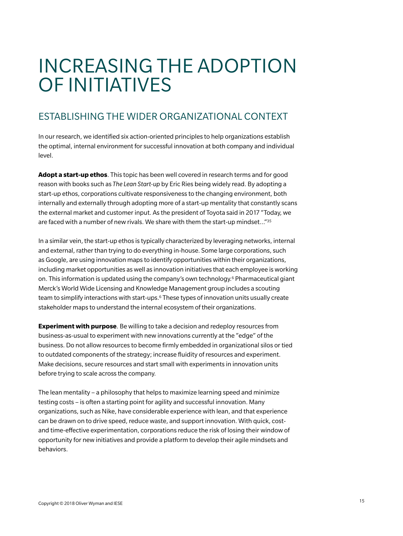## INCREASING THE ADOPTION OF INITIATIVES

## ESTABLISHING THE WIDER ORGANIZATIONAL CONTEXT

In our research, we identified six action-oriented principles to help organizations establish the optimal, internal environment for successful innovation at both company and individual level.

**Adopt a start-up ethos**. This topic has been well covered in research terms and for good reason with books such as *The Lean Start-up* by Eric Ries being widely read. By adopting a start-up ethos, corporations cultivate responsiveness to the changing environment, both internally and externally through adopting more of a start-up mentality that constantly scans the external market and customer input. As the president of Toyota said in 2017 "Today, we are faced with a number of new rivals. We share with them the start-up mindset…"35

In a similar vein, the start-up ethos is typically characterized by leveraging networks, internal and external, rather than trying to do everything in-house. Some large corporations, such as Google, are using innovation maps to identify opportunities within their organizations, including market opportunities as well as innovation initiatives that each employee is working on. This information is updated using the company's own technology.6 Pharmaceutical giant Merck's World Wide Licensing and Knowledge Management group includes a scouting team to simplify interactions with start-ups.<sup>6</sup> These types of innovation units usually create stakeholder maps to understand the internal ecosystem of their organizations.

**Experiment with purpose**. Be willing to take a decision and redeploy resources from business-as-usual to experiment with new innovations currently at the "edge" of the business. Do not allow resources to become firmly embedded in organizational silos or tied to outdated components of the strategy; increase fluidity of resources and experiment. Make decisions, secure resources and start small with experiments in innovation units before trying to scale across the company.

The lean mentality – a philosophy that helps to maximize learning speed and minimize testing costs – is often a starting point for agility and successful innovation. Many organizations, such as Nike, have considerable experience with lean, and that experience can be drawn on to drive speed, reduce waste, and support innovation. With quick, costand time-effective experimentation, corporations reduce the risk of losing their window of opportunity for new initiatives and provide a platform to develop their agile mindsets and behaviors.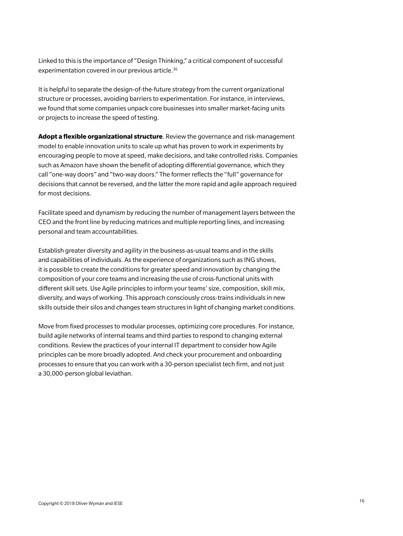Linked to this is the importance of "Design Thinking," a critical component of successful experimentation covered in our previous article.<sup>36</sup>

It is helpful to separate the design-of-the-future strategy from the current organizational structure or processes, avoiding barriers to experimentation. For instance, in interviews, we found that some companies unpack core businesses into smaller market-facing units or projects to increase the speed of testing.

**Adopt a flexible organizational structure**. Review the governance and risk-management model to enable innovation units to scale up what has proven to work in experiments by encouraging people to move at speed, make decisions, and take controlled risks. Companies such as Amazon have shown the benefit of adopting differential governance, which they call "one-way doors" and "two-way doors." The former reflects the "full" governance for decisions that cannot be reversed, and the latter the more rapid and agile approach required for most decisions.

Facilitate speed and dynamism by reducing the number of management layers between the CEO and the front line by reducing matrices and multiple reporting lines, and increasing personal and team accountabilities.

Establish greater diversity and agility in the business-as-usual teams and in the skills and capabilities of individuals. As the experience of organizations such as ING shows, it is possible to create the conditions for greater speed and innovation by changing the composition of your core teams and increasing the use of cross-functional units with different skill sets. Use Agile principles to inform your teams' size, composition, skill mix, diversity, and ways of working. This approach consciously cross-trains individuals in new skills outside their silos and changes team structures in light of changing market conditions.

Move from fixed processes to modular processes, optimizing core procedures. For instance, build agile networks of internal teams and third parties to respond to changing external conditions. Review the practices of your internal IT department to consider how Agile principles can be more broadly adopted. And check your procurement and onboarding processes to ensure that you can work with a 30-person specialist tech firm, and not just a 30,000-person global leviathan.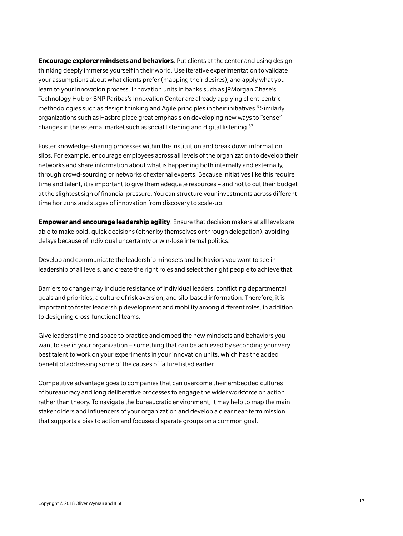**Encourage explorer mindsets and behaviors**. Put clients at the center and using design thinking deeply immerse yourself in their world. Use iterative experimentation to validate your assumptions about what clients prefer (mapping their desires), and apply what you learn to your innovation process. Innovation units in banks such as JPMorgan Chase's Technology Hub or BNP Paribas's Innovation Center are already applying client-centric methodologies such as design thinking and Agile principles in their initiatives.<sup>6</sup> Similarly organizations such as Hasbro place great emphasis on developing new ways to "sense" changes in the external market such as social listening and digital listening.37

Foster knowledge-sharing processes within the institution and break down information silos. For example, encourage employees across all levels of the organization to develop their networks and share information about what is happening both internally and externally, through crowd-sourcing or networks of external experts. Because initiatives like this require time and talent, it is important to give them adequate resources – and not to cut their budget at the slightest sign of financial pressure. You can structure your investments across different time horizons and stages of innovation from discovery to scale-up.

**Empower and encourage leadership agility**. Ensure that decision makers at all levels are able to make bold, quick decisions (either by themselves or through delegation), avoiding delays because of individual uncertainty or win-lose internal politics.

Develop and communicate the leadership mindsets and behaviors you want to see in leadership of all levels, and create the right roles and select the right people to achieve that.

Barriers to change may include resistance of individual leaders, conflicting departmental goals and priorities, a culture of risk aversion, and silo-based information. Therefore, it is important to foster leadership development and mobility among different roles, in addition to designing cross-functional teams.

Give leaders time and space to practice and embed the new mindsets and behaviors you want to see in your organization – something that can be achieved by seconding your very best talent to work on your experiments in your innovation units, which has the added benefit of addressing some of the causes of failure listed earlier.

Competitive advantage goes to companies that can overcome their embedded cultures of bureaucracy and long deliberative processes to engage the wider workforce on action rather than theory. To navigate the bureaucratic environment, it may help to map the main stakeholders and influencers of your organization and develop a clear near-term mission that supports a bias to action and focuses disparate groups on a common goal.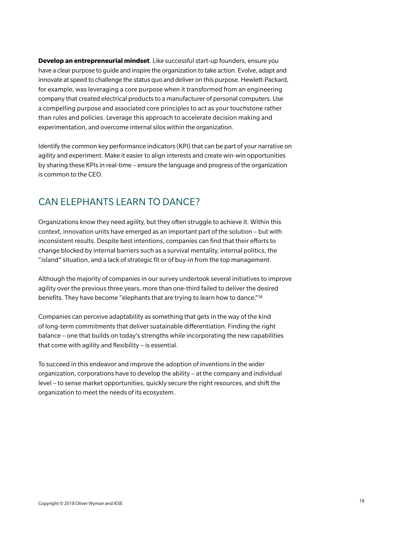**Develop an entrepreneurial mindset**. Like successful start-up founders, ensure you have a clear purpose to guide and inspire the organization to take action. Evolve, adapt and innovate at speed to challenge the status quo and deliver on this purpose. Hewlett-Packard, for example, was leveraging a core purpose when it transformed from an engineering company that created electrical products to a manufacturer of personal computers. Use a compelling purpose and associated core principles to act as your touchstone rather than rules and policies. Leverage this approach to accelerate decision making and experimentation, and overcome internal silos within the organization.

Identify the common key performance indicators (KPI) that can be part of your narrative on agility and experiment. Make it easier to align interests and create win-win opportunities by sharing these KPIs in real-time – ensure the language and progress of the organization is common to the CEO.

## CAN ELEPHANTS LEARN TO DANCE?

Organizations know they need agility, but they often struggle to achieve it. Within this context, innovation units have emerged as an important part of the solution – but with inconsistent results. Despite best intentions, companies can find that their efforts to change blocked by internal barriers such as a survival mentality, internal politics, the "island" situation, and a lack of strategic fit or of buy-in from the top management.

Although the majority of companies in our survey undertook several initiatives to improve agility over the previous three years, more than one-third failed to deliver the desired benefits. They have become "elephants that are trying to learn how to dance."38

Companies can perceive adaptability as something that gets in the way of the kind of long-term commitments that deliver sustainable differentiation. Finding the right balance – one that builds on today's strengths while incorporating the new capabilities that come with agility and flexibility – is essential.

To succeed in this endeavor and improve the adoption of inventions in the wider organization, corporations have to develop the ability – at the company and individual level – to sense market opportunities, quickly secure the right resources, and shift the organization to meet the needs of its ecosystem.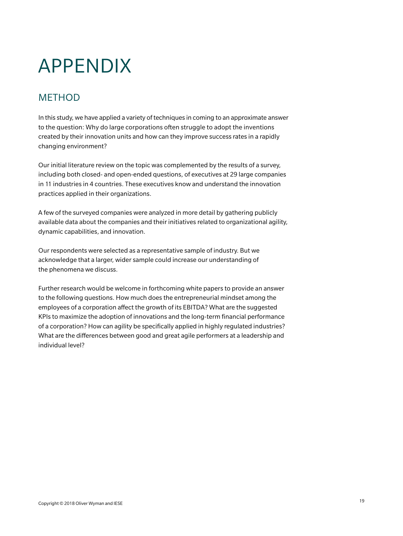# APPENDIX

## METHOD

In this study, we have applied a variety of techniques in coming to an approximate answer to the question: Why do large corporations often struggle to adopt the inventions created by their innovation units and how can they improve success rates in a rapidly changing environment?

Our initial literature review on the topic was complemented by the results of a survey, including both closed- and open-ended questions, of executives at 29 large companies in 11 industries in 4 countries. These executives know and understand the innovation practices applied in their organizations.

A few of the surveyed companies were analyzed in more detail by gathering publicly available data about the companies and their initiatives related to organizational agility, dynamic capabilities, and innovation.

Our respondents were selected as a representative sample of industry. But we acknowledge that a larger, wider sample could increase our understanding of the phenomena we discuss.

Further research would be welcome in forthcoming white papers to provide an answer to the following questions. How much does the entrepreneurial mindset among the employees of a corporation affect the growth of its EBITDA? What are the suggested KPIs to maximize the adoption of innovations and the long-term financial performance of a corporation? How can agility be specifically applied in highly regulated industries? What are the differences between good and great agile performers at a leadership and individual level?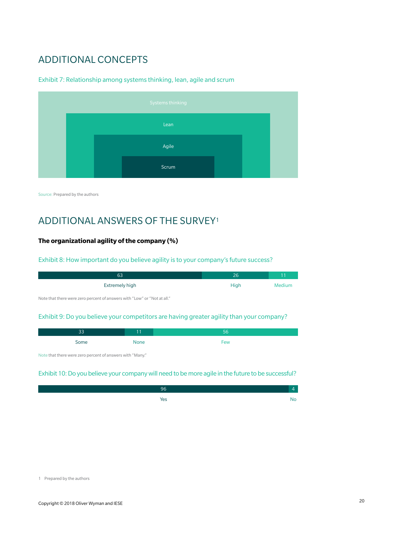## ADDITIONAL CONCEPTS

#### Exhibit 7: Relationship among systems thinking, lean, agile and scrum

|  | Systems thinking |  |  |
|--|------------------|--|--|
|  | Lean             |  |  |
|  | Agile            |  |  |
|  | Scrum            |  |  |

Source: Prepared by the authors

## ADDITIONAL ANSWERS OF THE SURVEY1

## **The organizational agility of the company (%)**

#### Exhibit 8: How important do you believe agility is to your company's future success?

| 63             | 26   |        |
|----------------|------|--------|
| Extremely high | High | Medium |

Note that there were zero percent of answers with "Low" or "Not at all."

#### Exhibit 9: Do you believe your competitors are having greater agility than your company?

| <b>- -</b> |      | 45  |
|------------|------|-----|
| Some       | None | Few |

Note that there were zero percent of answers with "Many."

#### Exhibit 10: Do you believe your company will need to be more agile in the future to be successful?

| 96  |     |
|-----|-----|
| Yes | NO. |

<sup>1</sup> Prepared by the authors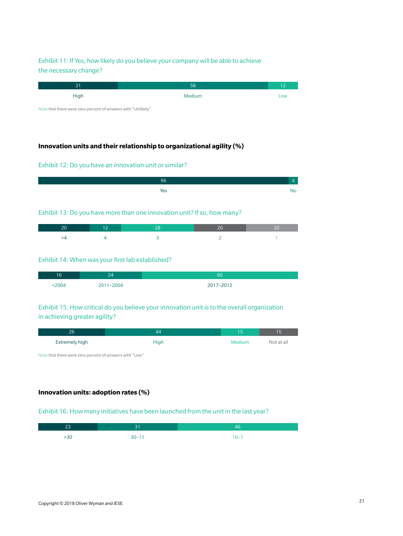## Exhibit 11: If Yes, how likely do you believe your company will be able to achieve the necessary change?

| 31                                                                                                                                 | 58     |     |
|------------------------------------------------------------------------------------------------------------------------------------|--------|-----|
| High                                                                                                                               | Medium | Low |
| the contract of the contract of the contract of the contract of the contract of<br>the contract of the contract of the contract of |        |     |

Note that there were zero percent of answers with "Unlikely."

## **Innovation units and their relationship to organizational agility (%)**

#### Exhibit 12: Do you have an innovation unit or similar?

| ٦ŕ  |  |
|-----|--|
| res |  |

#### Exhibit 13: Do you have more than one innovation unit? If so, how many?

#### Exhibit 14: When was your first lab established?

| 16   | י הי<br>ومتعارض | 60        |
|------|-----------------|-----------|
| 2004 | 2004            | 2017-2012 |

### Exhibit 15: How critical do you believe your innovation unit is to the overall organization in achieving greater agility?

| 26             |      | l 5    | l5         |
|----------------|------|--------|------------|
| Extremely high | High | Medium | Not at all |

Note that there were zero percent of answers with "Low."

#### **Innovation units: adoption rates (%)**

#### Exhibit 16: How many initiatives have been launched from the unit in the last year?

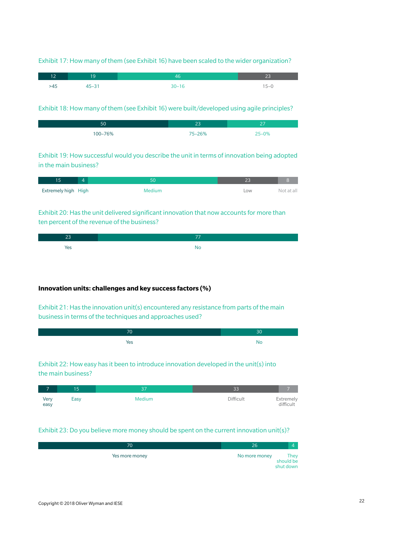#### Exhibit 17: How many of them (see Exhibit 16) have been scaled to the wider organization?

| 12' | و ا       |      |        |
|-----|-----------|------|--------|
| >45 | $45 - 31$ | 3∩⊥1 | $15-0$ |

#### Exhibit 18: How many of them (see Exhibit 16) were built/developed using agile principles?

| 50      | ົາ         | $\sim$ $-$<br>- |
|---------|------------|-----------------|
| 100-76% | $75 - 26%$ | $25 - 0%$       |

Exhibit 19: How successful would you describe the unit in terms of innovation being adopted in the main business?

| Extremely high High | Medium | LOW | Not at all |
|---------------------|--------|-----|------------|

Exhibit 20: Has the unit delivered significant innovation that now accounts for more than ten percent of the revenue of the business?

| res |  |
|-----|--|

#### **Innovation units: challenges and key success factors (%)**

Exhibit 21: Has the innovation unit(s) encountered any resistance from parts of the main business in terms of the techniques and approaches used?

| 70. | 10  |
|-----|-----|
| Yes | 'NC |

## Exhibit 22: How easy has it been to introduce innovation developed in the unit(s) into the main business?

|              | 15   | $\sim$ $-$    |           |                        |
|--------------|------|---------------|-----------|------------------------|
| Very<br>easy | Easy | <b>Medium</b> | Difficult | Extremely<br>difficult |

#### Exhibit 23: Do you believe more money should be spent on the current innovation unit(s)?

| 0'             | Zb            |                                |
|----------------|---------------|--------------------------------|
| Yes more money | No more money | They<br>should be<br>shut down |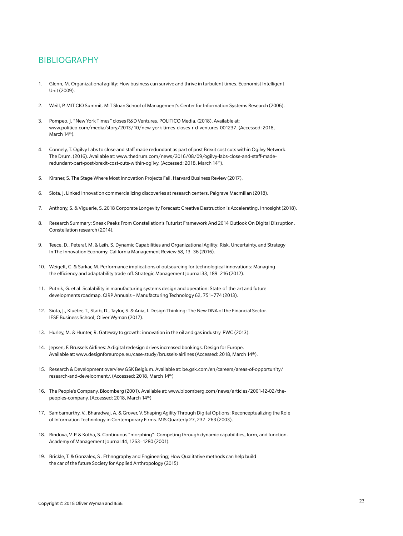## BIBLIOGRAPHY

- 1. Glenn, M. Organizational agility: How business can survive and thrive in turbulent times. Economist Intelligent Unit (2009).
- 2. Weill, P. MIT CIO Summit. MIT Sloan School of Management's Center for Information Systems Research (2006).
- 3. Pompeo, J. "New York Times" closes R&D Ventures. POLITICO Media. (2018). Available at: www.politico.com/media/story/2013/10/new-york-times-closes-r-d-ventures-001237. (Accessed: 2018, March 14th).
- 4. Connely, T. Ogilvy Labs to close and staff made redundant as part of post Brexit cost cuts within Ogilvy Network. The Drum. (2016). Available at: www.thedrum.com/news/2016/08/09/ogilvy-labs-close-and-staff-maderedundant-part-post-brexit-cost-cuts-within-ogilvy. (Accessed: 2018, March 14th).
- 5. Kirsner, S. The Stage Where Most Innovation Projects Fail. Harvard Business Review (2017).
- 6. Siota, J. Linked innovation commercializing discoveries at research centers. Palgrave Macmillan (2018).
- 7. Anthony, S. & Viguerie, S. 2018 Corporate Longevity Forecast: Creative Destruction is Accelerating. Innosight (2018).
- 8. Research Summary: Sneak Peeks From Constellation's Futurist Framework And 2014 Outlook On Digital Disruption. Constellation research (2014).
- 9. Teece, D., Peteraf, M. & Leih, S. Dynamic Capabilities and Organizational Agility: Risk, Uncertainty, and Strategy In The Innovation Economy. California Management Review 58, 13–36 (2016).
- 10. Weigelt, C. & Sarkar, M. Performance implications of outsourcing for technological innovations: Managing the efficiency and adaptability trade-off. Strategic Management Journal 33, 189–216 (2012).
- 11. Putnik, G. et al. Scalability in manufacturing systems design and operation: State-of-the-art and future developments roadmap. CIRP Annuals – Manufacturing Technology 62, 751–774 (2013).
- 12. Siota, J., Klueter, T., Staib, D., Taylor, S. & Ania, I. Design Thinking: The New DNA of the Financial Sector. IESE Business School; Oliver Wyman (2017).
- 13. Hurley, M. & Hunter, R. Gateway to growth: innovation in the oil and gas industry. PWC (2013).
- 14. Jepsen, F. Brussels Airlines: A digital redesign drives increased bookings. Design for Europe. Available at: www.designforeurope.eu/case-study/brussels-airlines (Accessed: 2018, March 14th).
- 15. Research & Development overview GSK Belgium. Available at: be.gsk.com/en/careers/areas-of-opportunity/ research-and-development/. (Accessed: 2018, March 14th)
- 16. The People's Company. Bloomberg (2001). Available at: www.bloomberg.com/news/articles/2001-12-02/thepeoples-company. (Accessed: 2018, March 14th)
- 17. Sambamurthy, V., Bharadwaj, A. & Grover, V. Shaping Agility Through Digital Options: Reconceptualizing the Role of Information Technology in Contemporary Firms. MIS Quarterly 27, 237–263 (2003).
- 18. Rindova, V. P. & Kotha, S. Continuous "morphing": Competing through dynamic capabilities, form, and function. Academy of Management Journal 44, 1263–1280 (2001).
- 19. Brickle, T. & Gonzalex, S . Ethnography and Engineering; How Qualitative methods can help build the car of the future Society for Applied Anthropology (2015)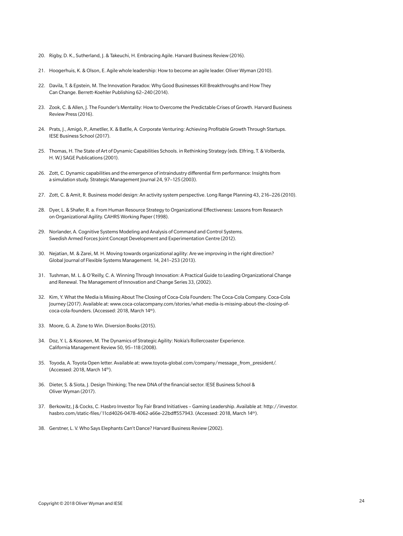- 20. Rigby, D. K., Sutherland, J. & Takeuchi, H. Embracing Agile. Harvard Business Review (2016).
- 21. Hoogerhuis, K. & Olson, E. Agile whole leadership: How to become an agile leader. Oliver Wyman (2010).
- 22. Davila, T. & Epstein, M. The Innovation Paradox: Why Good Businesses Kill Breakthroughs and How They Can Change. Berrett-Koehler Publishing 62–240 (2014).
- 23. Zook, C. & Allen, J. The Founder's Mentality: How to Overcome the Predictable Crises of Growth. Harvard Business Review Press (2016).
- 24. Prats, J., Amigó, P., Ametller, X. & Batlle, A. Corporate Venturing: Achieving Profitable Growth Through Startups. IESE Business School (2017).
- 25. Thomas, H. The State of Art of Dynamic Capabilities Schools. in Rethinking Strategy (eds. Elfring, T. & Volberda, H. W.) SAGE Publications (2001).
- 26. Zott, C. Dynamic capabilities and the emergence of intraindustry differential firm performance: Insights from a simulation study. Strategic Management Journal 24, 97–125 (2003).
- 27. Zott, C. & Amit, R. Business model design: An activity system perspective. Long Range Planning 43, 216–226 (2010).
- 28. Dyer, L. & Shafer, R. a. From Human Resource Strategy to Organizational Effectiveness: Lessons from Research on Organizational Agility. CAHRS Working Paper (1998).
- 29. Norlander, A. Cognitive Systems Modeling and Analysis of Command and Control Systems. Swedish Armed Forces Joint Concept Development and Experimentation Centre (2012).
- 30. Nejatian, M. & Zarei, M. H. Moving towards organizational agility: Are we improving in the right direction? Global Journal of Flexible Systems Management. 14, 241–253 (2013).
- 31. Tushman, M. L. & O'Reilly, C. A. Winning Through Innovation: A Practical Guide to Leading Organizational Change and Renewal. The Management of Innovation and Change Series 33, (2002).
- 32. Kim, Y. What the Media is Missing About The Closing of Coca-Cola Founders: The Coca-Cola Company. Coca-Cola Journey (2017). Available at: www.coca-colacompany.com/stories/what-media-is-missing-about-the-closing-ofcoca-cola-founders. (Accessed: 2018, March 14th).
- 33. Moore, G. A. Zone to Win. Diversion Books (2015).
- 34. Doz, Y. L. & Kosonen, M. The Dynamics of Strategic Agility: Nokia's Rollercoaster Experience. California Management Review 50, 95–118 (2008).
- 35. Toyoda, A. Toyota Open letter. Available at: www.toyota-global.com/company/message\_from\_president/. (Accessed: 2018, March 14th).
- 36. Dieter, S. & Siota, J. Design Thinking; The new DNA of the financial sector. IESE Business School & Oliver Wyman (2017).
- 37. Berkowitz, J & Cocks, C. Hasbro Investor Toy Fair Brand Initiatives Gaming Leadership. Available at: http://investor. hasbro.com/static-files/11cd4026-0478-4062-a66e-22bdff557943. (Accessed: 2018, March 14th).
- 38. Gerstner, L. V. Who Says Elephants Can't Dance? Harvard Business Review (2002).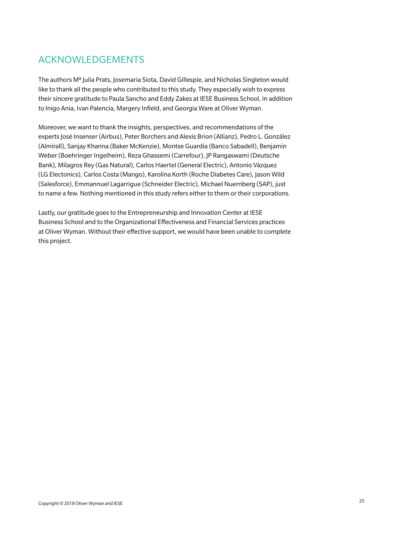## ACKNOWLEDGEMENTS

The authors Mª Julia Prats, Josemaria Siota, David Gillespie, and Nicholas Singleton would like to thank all the people who contributed to this study. They especially wish to express their sincere gratitude to Paula Sancho and Eddy Zakes at IESE Business School, in addition to Inigo Ania, Ivan Palencia, Margery Infield, and Georgia Ware at Oliver Wyman.

Moreover, we want to thank the insights, perspectives, and recommendations of the experts José Insenser (Airbus), Peter Borchers and Alexis Brion (Allianz), Pedro L. González (Almirall), Sanjay Khanna (Baker McKenzie), Montse Guardia (Banco Sabadell), Benjamin Weber (Boehringer Ingelheim), Reza Ghassemi (Carrefour), JP Rangaswami (Deutsche Bank), Milagros Rey (Gas Natural), Carlos Haertel (General Electric), Antonio Vázquez (LG Electonics), Carlos Costa (Mango), Karolina Korth (Roche Diabetes Care), Jason Wild (Salesforce), Emmannuel Lagarrigue (Schneider Electric), Michael Nuernberg (SAP), just to name a few. Nothing mentioned in this study refers either to them or their corporations.

Lastly, our gratitude goes to the Entrepreneurship and Innovation Center at IESE Business School and to the Organizational Effectiveness and Financial Services practices at Oliver Wyman. Without their effective support, we would have been unable to complete this project.